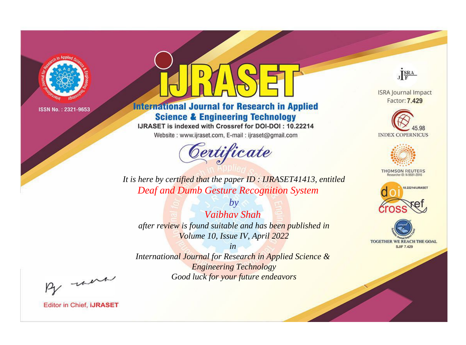

# **International Journal for Research in Applied Science & Engineering Technology**

IJRASET is indexed with Crossref for DOI-DOI: 10.22214

Website: www.ijraset.com, E-mail: ijraset@gmail.com



JERA

**ISRA Journal Impact** Factor: 7.429





**THOMSON REUTERS** 



TOGETHER WE REACH THE GOAL **SJIF 7.429** 

It is here by certified that the paper ID: IJRASET41413, entitled **Deaf and Dumb Gesture Recognition System** 

 $b\nu$ **Vaibhay Shah** after review is found suitable and has been published in Volume 10, Issue IV, April 2022

 $in$ International Journal for Research in Applied Science & **Engineering Technology** Good luck for your future endeavors

By morn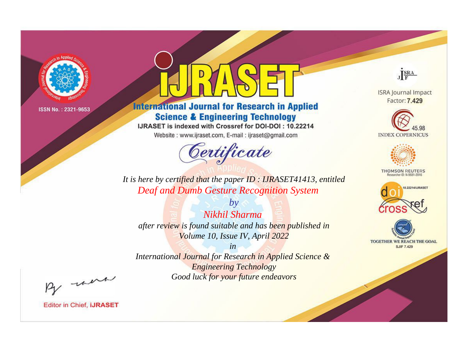

# **International Journal for Research in Applied Science & Engineering Technology**

IJRASET is indexed with Crossref for DOI-DOI: 10.22214

Website: www.ijraset.com, E-mail: ijraset@gmail.com



JERA

**ISRA Journal Impact** Factor: 7.429





**THOMSON REUTERS** 



TOGETHER WE REACH THE GOAL **SJIF 7.429** 

It is here by certified that the paper ID: IJRASET41413, entitled **Deaf and Dumb Gesture Recognition System** 

Nikhil Sharma after review is found suitable and has been published in Volume 10, Issue IV, April 2022

 $b\nu$ 

 $in$ International Journal for Research in Applied Science & **Engineering Technology** Good luck for your future endeavors

By morn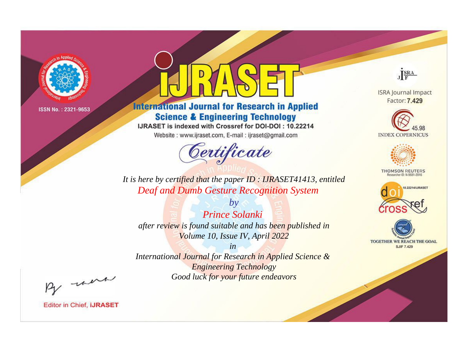

# **International Journal for Research in Applied Science & Engineering Technology**

IJRASET is indexed with Crossref for DOI-DOI: 10.22214

Website: www.ijraset.com, E-mail: ijraset@gmail.com



JERA

**ISRA Journal Impact** Factor: 7.429





**THOMSON REUTERS** 



TOGETHER WE REACH THE GOAL **SJIF 7.429** 

It is here by certified that the paper ID: IJRASET41413, entitled **Deaf and Dumb Gesture Recognition System** 

**Prince Solanki** after review is found suitable and has been published in Volume 10, Issue IV, April 2022

 $b\nu$ 

 $in$ International Journal for Research in Applied Science & **Engineering Technology** Good luck for your future endeavors

By morn